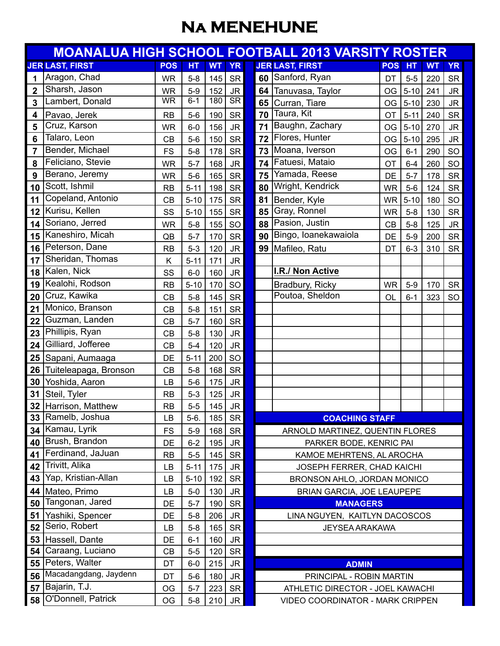## **Na MENEHUNE**

| <b>MOANALUA HIGH SCHOOL FOOTBALL 2013 VARSITY ROSTER</b> |                        |            |          |           |                        |                                  |                        |            |          |           |           |  |
|----------------------------------------------------------|------------------------|------------|----------|-----------|------------------------|----------------------------------|------------------------|------------|----------|-----------|-----------|--|
|                                                          | <b>JER LAST, FIRST</b> | <b>POS</b> | HT       | <b>WT</b> | <b>YR</b>              |                                  | <b>JER LAST, FIRST</b> | <b>POS</b> | HT       | <b>WT</b> | <b>YR</b> |  |
| 1                                                        | Aragon, Chad           | <b>WR</b>  | $5 - 8$  | 145       | <b>SR</b>              | 60                               | Sanford, Ryan          | DT         | $5-5$    | 220       | <b>SR</b> |  |
| $\mathbf{2}$                                             | Sharsh, Jason          | <b>WR</b>  | $5-9$    | 152       | JR                     | 64                               | Tanuvasa, Taylor       | OG         | $5 - 10$ | 241       | <b>JR</b> |  |
| 3                                                        | Lambert, Donald        | <b>WR</b>  | $6 - 1$  | 180       | $\overline{\text{SR}}$ |                                  | 65 Curran, Tiare       | OG         | $5 - 10$ | 230       | <b>JR</b> |  |
| 4                                                        | Pavao, Jerek           | RB         | $5-6$    | 190       | <b>SR</b>              | 70                               | Taura, Kit             | <b>OT</b>  | $5 - 11$ | 240       | <b>SR</b> |  |
| 5                                                        | Cruz, Karson           | <b>WR</b>  | $6-0$    | 156       | <b>JR</b>              | 71                               | Baughn, Zachary        | OG         | $5 - 10$ | 270       | <b>JR</b> |  |
| 6                                                        | Talaro, Leon           | CB         | $5-6$    | 150       | <b>SR</b>              | 72                               | Flores, Hunter         | OG         | $5 - 10$ | 295       | <b>JR</b> |  |
| 7                                                        | Bender, Michael        | <b>FS</b>  | $5 - 8$  | 178       | <b>SR</b>              | 73                               | Moana, Iverson         | OG         | $6 - 1$  | 290       | SO        |  |
| 8                                                        | Feliciano, Stevie      | WR         | $5 - 7$  | 168       | <b>JR</b>              | 74                               | Fatuesi, Mataio        | OT         | $6 - 4$  | 260       | SO        |  |
| 9                                                        | Berano, Jeremy         | <b>WR</b>  | $5-6$    | 165       | <b>SR</b>              | 75                               | Yamada, Reese          | DE         | $5 - 7$  | 178       | <b>SR</b> |  |
| 10                                                       | Scott, Ishmil          | RB         | $5 - 11$ | 198       | <b>SR</b>              | 80                               | Wright, Kendrick       | <b>WR</b>  | $5-6$    | 124       | <b>SR</b> |  |
| 11                                                       | Copeland, Antonio      | CB         | $5 - 10$ | 175       | <b>SR</b>              | 81                               | Bender, Kyle           | <b>WR</b>  | $5 - 10$ | 180       | SO        |  |
| 12                                                       | Kurisu, Kellen         | SS         | $5 - 10$ | 155       | <b>SR</b>              | 85                               | Gray, Ronnel           | <b>WR</b>  | $5-8$    | 130       | <b>SR</b> |  |
| 14                                                       | Soriano, Jerred        | <b>WR</b>  | $5-8$    | 155       | SO                     | 88                               | Pasion, Justin         | CB         | $5-8$    | 125       | <b>JR</b> |  |
| 15                                                       | Kaneshiro, Micah       | QB         | $5 - 7$  | 170       | <b>SR</b>              | 90                               | Bingo, Ioanekawaiola   | DE         | $5-9$    | 200       | <b>SR</b> |  |
| 16                                                       | Peterson, Dane         | <b>RB</b>  | $5-3$    | 120       | <b>JR</b>              | 99                               | Mafileo, Ratu          | DT         | $6 - 3$  | 310       | <b>SR</b> |  |
| 17                                                       | Sheridan, Thomas       | Κ          | $5 - 11$ | 171       | <b>JR</b>              |                                  |                        |            |          |           |           |  |
| 18                                                       | Kalen, Nick            | SS         | $6-0$    | 160       | <b>JR</b>              |                                  | I.R./ Non Active       |            |          |           |           |  |
| 19                                                       | Kealohi, Rodson        | <b>RB</b>  | $5 - 10$ | 170       | SO                     |                                  | Bradbury, Ricky        | <b>WR</b>  | $5-9$    | 170       | <b>SR</b> |  |
| 20                                                       | Cruz, Kawika           | CB         | $5 - 8$  | 145       | <b>SR</b>              |                                  | Poutoa, Sheldon        | OL         | $6 - 1$  | 323       | <b>SO</b> |  |
| 21                                                       | Monico, Branson        | CB         | $5 - 8$  | 151       | <b>SR</b>              |                                  |                        |            |          |           |           |  |
| 22                                                       | Guzman, Landen         | CB         | $5 - 7$  | 160       | <b>SR</b>              |                                  |                        |            |          |           |           |  |
| 23                                                       | Phillipis, Ryan        | CB         | $5 - 8$  | 130       | <b>JR</b>              |                                  |                        |            |          |           |           |  |
| 24                                                       | Gilliard, Jofferee     | CB         | $5-4$    | 120       | <b>JR</b>              |                                  |                        |            |          |           |           |  |
| 25                                                       | Sapani, Aumaaga        | DE         | $5 - 11$ | 200       | SO                     |                                  |                        |            |          |           |           |  |
| 26                                                       | Tuiteleapaga, Bronson  | CB         | $5-8$    | 168       | <b>SR</b>              |                                  |                        |            |          |           |           |  |
| 30                                                       | Yoshida, Aaron         | LB         | $5-6$    | 175       | <b>JR</b>              |                                  |                        |            |          |           |           |  |
| 31                                                       | Steil, Tyler           | <b>RB</b>  | $5-3$    | 125       | JR                     |                                  |                        |            |          |           |           |  |
|                                                          | 32 Harrison, Matthew   | <b>RB</b>  | $5-5$    | 145       | <b>JR</b>              |                                  |                        |            |          |           |           |  |
|                                                          | 33 Ramelb, Joshua      | LВ         | $5-6.$   | 185       | SR                     | <b>COACHING STAFF</b>            |                        |            |          |           |           |  |
|                                                          | 34 Kamau, Lyrik        | <b>FS</b>  | $5-9$    | 168       | <b>SR</b>              | ARNOLD MARTINEZ, QUENTIN FLORES  |                        |            |          |           |           |  |
| 40                                                       | Brush, Brandon         | DE         | $6 - 2$  | 195       | JR.                    | PARKER BODE, KENRIC PAI          |                        |            |          |           |           |  |
| 41                                                       | Ferdinand, JaJuan      | <b>RB</b>  | $5-5$    | 145       | <b>SR</b>              | KAMOE MEHRTENS, AL AROCHA        |                        |            |          |           |           |  |
| 42                                                       | Trivitt, Alika         | LВ         | $5 - 11$ | 175       | <b>JR</b>              | JOSEPH FERRER, CHAD KAICHI       |                        |            |          |           |           |  |
| 43                                                       | Yap, Kristian-Allan    | LB         | $5 - 10$ | 192       | <b>SR</b>              | BRONSON AHLO, JORDAN MONICO      |                        |            |          |           |           |  |
| 44                                                       | Mateo, Primo           | LВ         | $5-0$    | 130       | <b>JR</b>              | BRIAN GARCIA, JOE LEAUPEPE       |                        |            |          |           |           |  |
| 50                                                       | Tangonan, Jared        | DE         | $5 - 7$  | 190       | <b>SR</b>              | <b>MANAGERS</b>                  |                        |            |          |           |           |  |
| 51                                                       | Yashiki, Spencer       | DE         | $5 - 8$  | 206       | JR.                    | LINA NGUYEN, KAITLYN DACOSCOS    |                        |            |          |           |           |  |
| 52                                                       | Serio, Robert          | LB         | $5-8$    | 165       | <b>SR</b>              | <b>JEYSEA ARAKAWA</b>            |                        |            |          |           |           |  |
| 53                                                       | Hassell, Dante         | DE         | $6 - 1$  | 160       | <b>JR</b>              |                                  |                        |            |          |           |           |  |
| 54                                                       | Caraang, Luciano       | CB         | $5-5$    | 120       | <b>SR</b>              |                                  |                        |            |          |           |           |  |
| 55                                                       | Peters, Walter         | DT         | $6-0$    | 215       | <b>JR</b>              | <b>ADMIN</b>                     |                        |            |          |           |           |  |
| 56                                                       | Macadangdang, Jaydenn  | DT         | $5-6$    | 180       | <b>JR</b>              | PRINCIPAL - ROBIN MARTIN         |                        |            |          |           |           |  |
| 57                                                       | Bajarin, T.J.          | OG         | $5 - 7$  | 223       | <b>SR</b>              | ATHLETIC DIRECTOR - JOEL KAWACHI |                        |            |          |           |           |  |
| 58                                                       | O'Donnell, Patrick     | OG         | $5-8$    | 210       | <b>JR</b>              | VIDEO COORDINATOR - MARK CRIPPEN |                        |            |          |           |           |  |